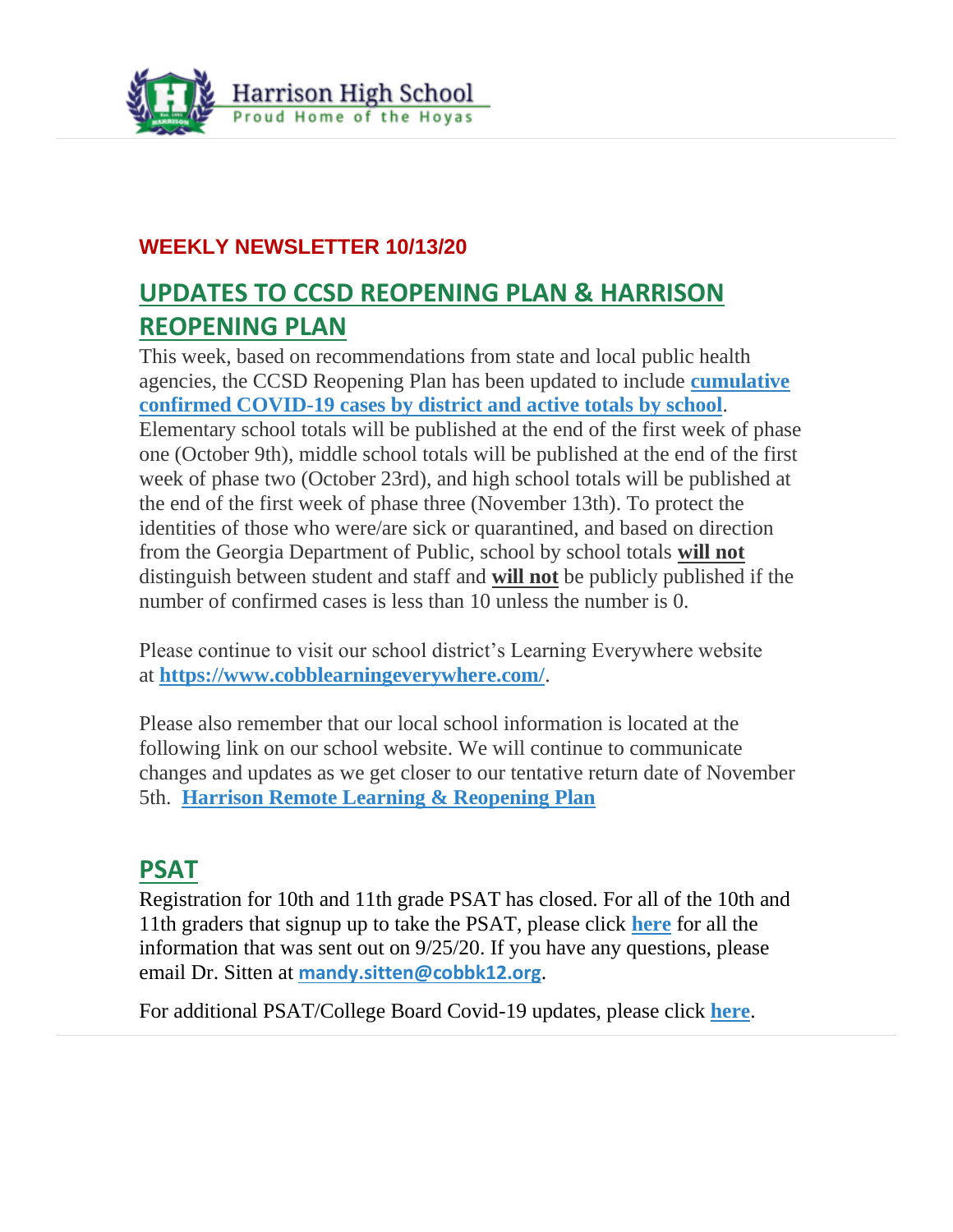

## **WEEKLY NEWSLETTER 10/13/20**

## **UPDATES TO CCSD REOPENING PLAN & HARRISON REOPENING PLAN**

This week, based on recommendations from state and local public health agencies, the CCSD Reopening Plan has been updated to include **[cumulative](https://www.cobblearningeverywhere.com/cases/)  [confirmed COVID-19 cases by district and active totals by school](https://www.cobblearningeverywhere.com/cases/)**. Elementary school totals will be published at the end of the first week of phase one (October 9th), middle school totals will be published at the end of the first week of phase two (October 23rd), and high school totals will be published at the end of the first week of phase three (November 13th). To protect the identities of those who were/are sick or quarantined, and based on direction from the Georgia Department of Public, school by school totals **will not** distinguish between student and staff and **will not** be publicly published if the number of confirmed cases is less than 10 unless the number is 0.

Please continue to visit our school district's Learning Everywhere website at **<https://www.cobblearningeverywhere.com/>**.

Please also remember that our local school information is located at the following link on our school website. We will continue to communicate changes and updates as we get closer to our tentative return date of November 5th. **[Harrison Remote Learning & Reopening Plan](http://www.harrisonhigh.org/Remote-Learning-Information)**

## **PSAT**

Registration for 10th and 11th grade PSAT has closed. For all of the 10th and 11th graders that signup up to take the PSAT, please click **[here](http://www.harrisonhigh.org/PSAT)** for all the information that was sent out on 9/25/20. If you have any questions, please email Dr. Sitten at **[mandy.sitten@cobbk12.org](mailto:MANDY.SITTEN@cobbk12.org)**.

For additional PSAT/College Board Covid-19 updates, please click **[here](https://pages.collegeboard.org/sat-covid-19-updates)**.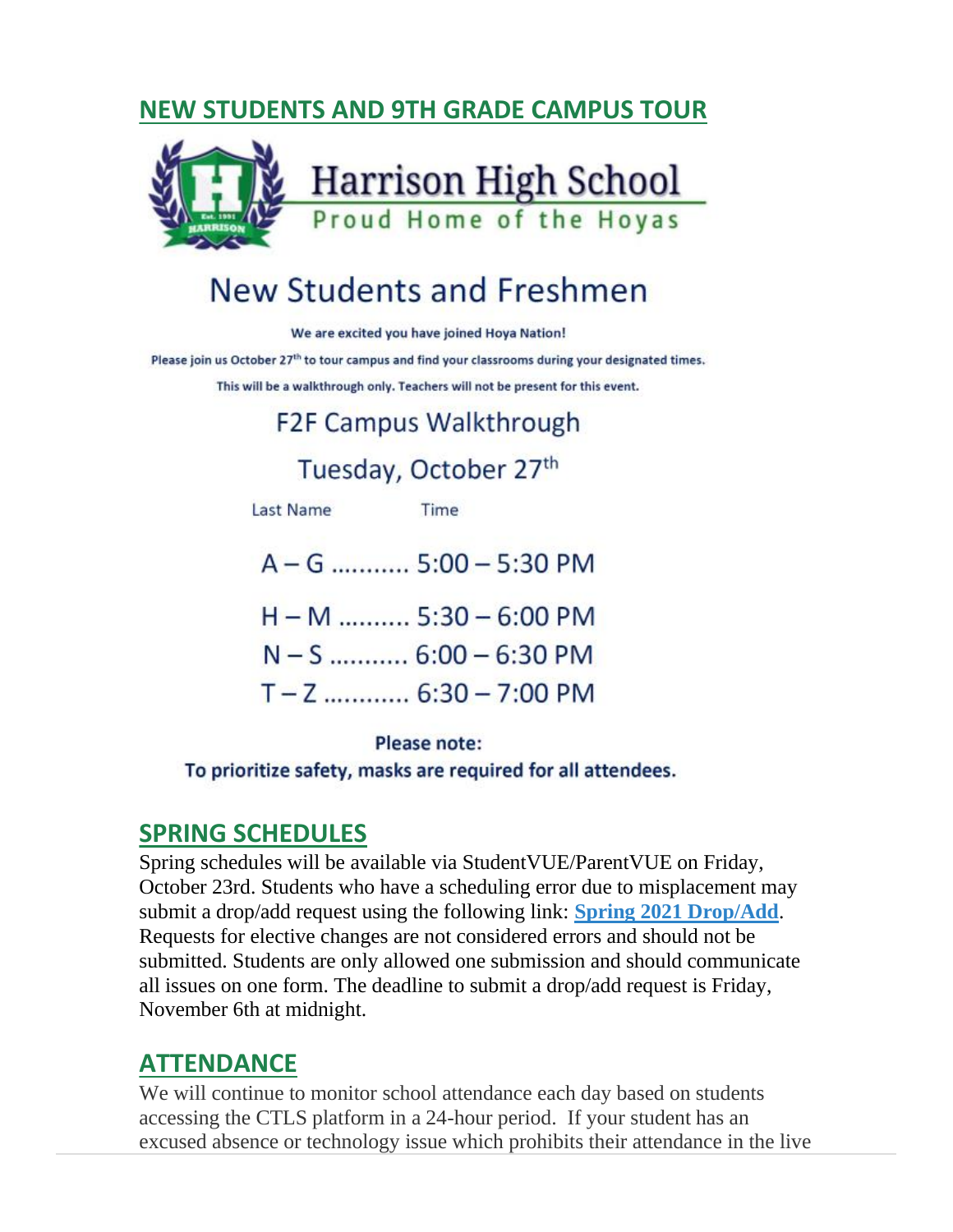## **NEW STUDENTS AND 9TH GRADE CAMPUS TOUR**



# New Students and Freshmen

We are excited you have joined Hoya Nation!

Please join us October 27<sup>th</sup> to tour campus and find your classrooms during your designated times.

This will be a walkthrough only. Teachers will not be present for this event.

**F2F Campus Walkthrough** 

## Tuesday, October 27th

Last Name

Time

A-G ........... 5:00 - 5:30 PM H-M .......... 5:30 - 6:00 PM  $N-S$  ........... 6:00 - 6:30 PM  $T - Z$  ............. 6:30 - 7:00 PM

#### Please note:

To prioritize safety, masks are required for all attendees.

### **SPRING SCHEDULES**

Spring schedules will be available via StudentVUE/ParentVUE on Friday, October 23rd. Students who have a scheduling error due to misplacement may submit a drop/add request using the following link: **[Spring 2021 Drop/Add](https://harrisonhs.formstack.com/forms/spring_2021_drop_add_form)**. Requests for elective changes are not considered errors and should not be submitted. Students are only allowed one submission and should communicate all issues on one form. The deadline to submit a drop/add request is Friday, November 6th at midnight.

## **ATTENDANCE**

We will continue to monitor school attendance each day based on students accessing the CTLS platform in a 24-hour period. If your student has an excused absence or technology issue which prohibits their attendance in the live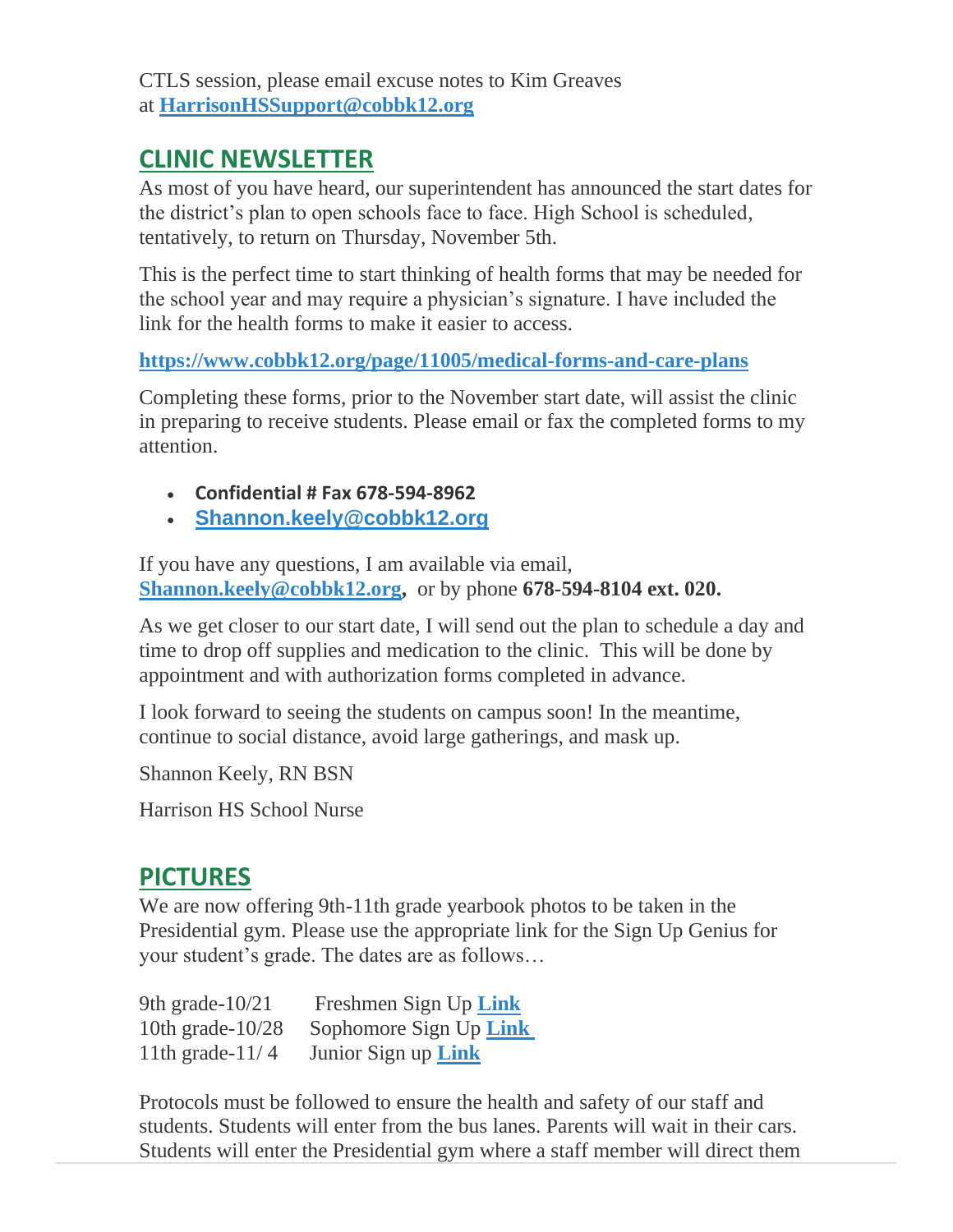CTLS session, please email excuse notes to Kim Greaves at **[HarrisonHSSupport@cobbk12.org](mailto:HarrisonHSSupport@cobbk12.org)**

## **CLINIC NEWSLETTER**

As most of you have heard, our superintendent has announced the start dates for the district's plan to open schools face to face. High School is scheduled, tentatively, to return on Thursday, November 5th.

This is the perfect time to start thinking of health forms that may be needed for the school year and may require a physician's signature. I have included the link for the health forms to make it easier to access.

**<https://www.cobbk12.org/page/11005/medical-forms-and-care-plans>**

Completing these forms, prior to the November start date, will assist the clinic in preparing to receive students. Please email or fax the completed forms to my attention.

- **Confidential # Fax 678-594-8962**
- **[Shannon.keely@cobbk12.org](mailto:Shannon.Keely@cobbk12.org)**

If you have any questions, I am available via email, **[Shannon.keely@cobbk12.org,](mailto:Shannon.Keely@cobbk12.org)** or by phone **678-594-8104 ext. 020.**

As we get closer to our start date, I will send out the plan to schedule a day and time to drop off supplies and medication to the clinic. This will be done by appointment and with authorization forms completed in advance.

I look forward to seeing the students on campus soon! In the meantime, continue to social distance, avoid large gatherings, and mask up.

Shannon Keely, RN BSN

Harrison HS School Nurse

## **PICTURES**

We are now offering 9th-11th grade yearbook photos to be taken in the Presidential gym. Please use the appropriate link for the Sign Up Genius for your student's grade. The dates are as follows…

9th grade-10/21 Freshmen Sign Up **[Link](https://www.signupgenius.com/go/4090c4fafad29a2fe3-9thgrade)** 10th grade-10/28 Sophomore Sign Up **[Link](https://www.signupgenius.com/go/4090c4fafad29a2fe3-9thgrade1)** 11th grade-11/ 4 Junior Sign up **[Link](https://www.signupgenius.com/go/4090c4fafad29a2fe3-11th)**

Protocols must be followed to ensure the health and safety of our staff and students. Students will enter from the bus lanes. Parents will wait in their cars. Students will enter the Presidential gym where a staff member will direct them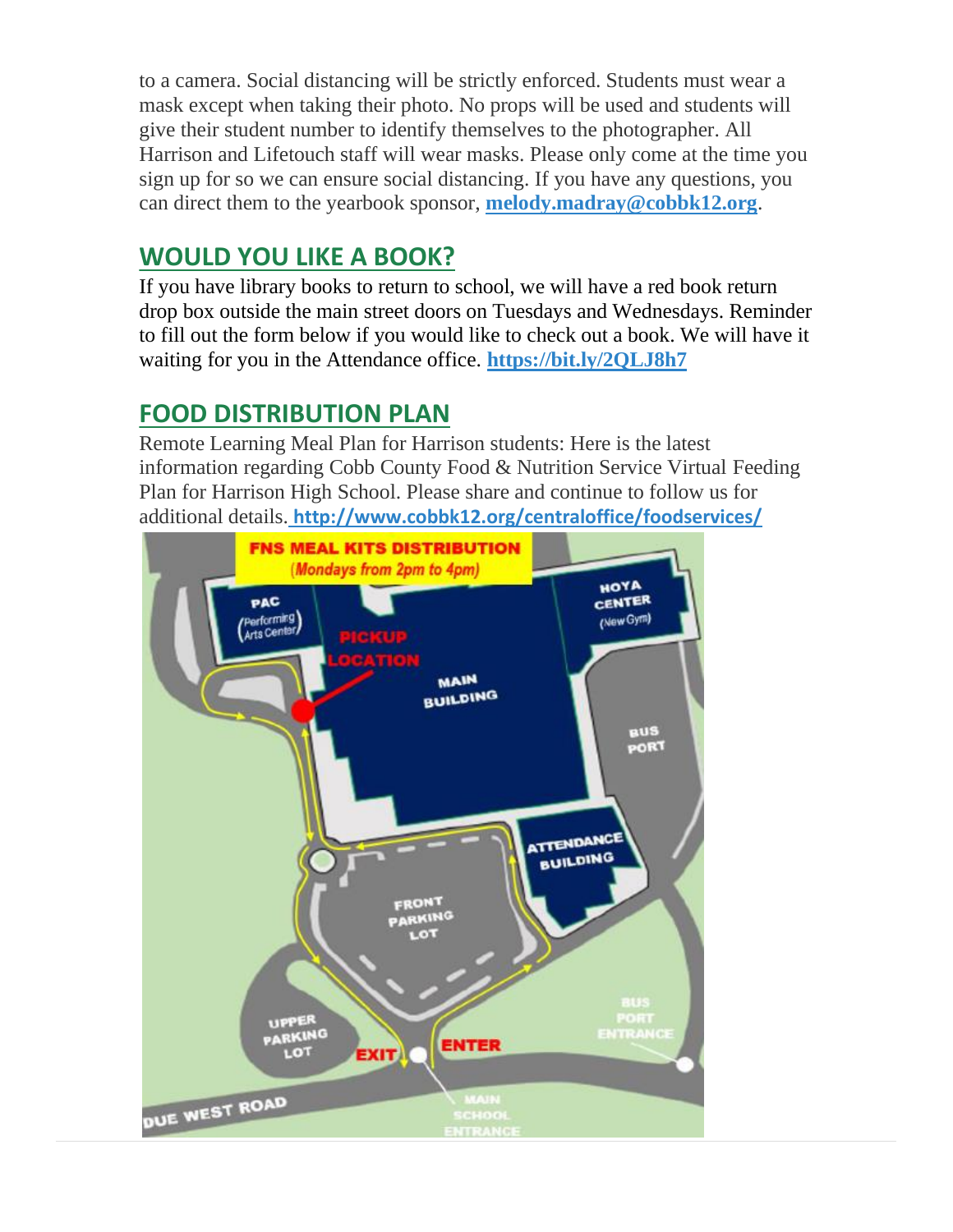to a camera. Social distancing will be strictly enforced. Students must wear a mask except when taking their photo. No props will be used and students will give their student number to identify themselves to the photographer. All Harrison and Lifetouch staff will wear masks. Please only come at the time you sign up for so we can ensure social distancing. If you have any questions, you can direct them to the yearbook sponsor, **[melody.madray@cobbk12.org](mailto:melody.madray@cobbk12.org)**.

## **WOULD YOU LIKE A BOOK?**

If you have library books to return to school, we will have a red book return drop box outside the main street doors on Tuesdays and Wednesdays. Reminder to fill out the form below if you would like to check out a book. We will have it waiting for you in the Attendance office. **<https://bit.ly/2QLJ8h7>**

## **FOOD DISTRIBUTION PLAN**

Remote Learning Meal Plan for Harrison students: Here is the latest information regarding Cobb County Food & Nutrition Service Virtual Feeding Plan for Harrison High School. Please share and continue to follow us for additional details. **[http://www.cobbk12.org/centraloffice/foodservices/](http://info.cobbk12.org/centraloffice/foodservices/)**

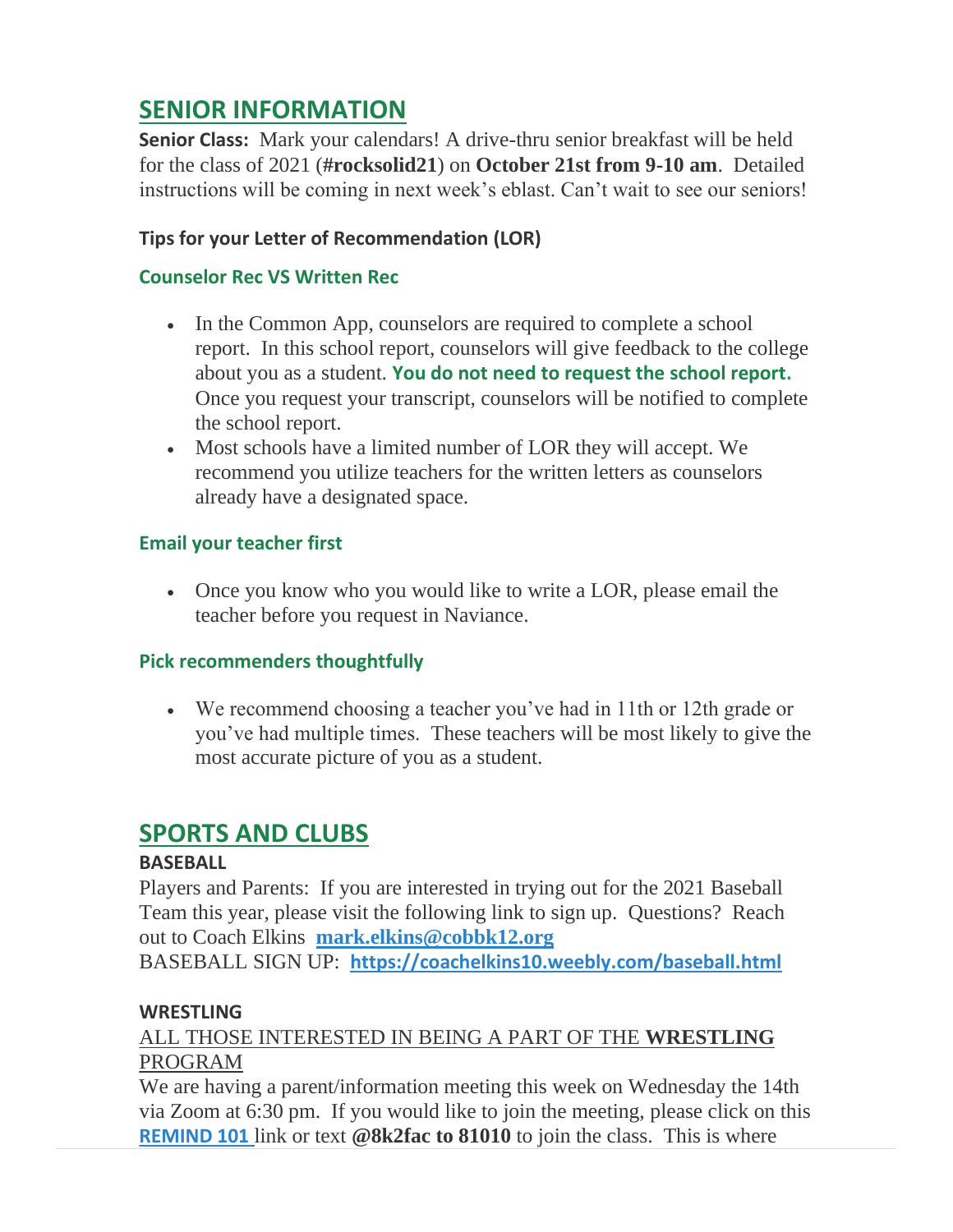## **SENIOR INFORMATION**

**Senior Class:** Mark your calendars! A drive-thru senior breakfast will be held for the class of 2021 (**#rocksolid21**) on **October 21st from 9-10 am**. Detailed instructions will be coming in next week's eblast. Can't wait to see our seniors!

#### **Tips for your Letter of Recommendation (LOR)**

#### **Counselor Rec VS Written Rec**

- In the Common App, counselors are required to complete a school report. In this school report, counselors will give feedback to the college about you as a student. **You do not need to request the school report.** Once you request your transcript, counselors will be notified to complete the school report.
- Most schools have a limited number of LOR they will accept. We recommend you utilize teachers for the written letters as counselors already have a designated space.

#### **Email your teacher first**

• Once you know who you would like to write a LOR, please email the teacher before you request in Naviance.

#### **Pick recommenders thoughtfully**

• We recommend choosing a teacher you've had in 11th or 12th grade or you've had multiple times. These teachers will be most likely to give the most accurate picture of you as a student.

### **SPORTS AND CLUBS**

#### **BASEBALL**

Players and Parents: If you are interested in trying out for the 2021 Baseball Team this year, please visit the following link to sign up. Questions? Reach out to Coach Elkins **[mark.elkins@cobbk12.org](mailto:mark.elkins@cobbk12.org)**

BASEBALL SIGN UP: **<https://coachelkins10.weebly.com/baseball.html>**

#### **WRESTLING**

#### ALL THOSE INTERESTED IN BEING A PART OF THE **WRESTLING** PROGRAM

We are having a parent/information meeting this week on Wednesday the 14th via Zoom at 6:30 pm. If you would like to join the meeting, please click on this **[REMIND 101](http://remind.com/join/8k2fac)** link or text **@8k2fac to 81010** to join the class. This is where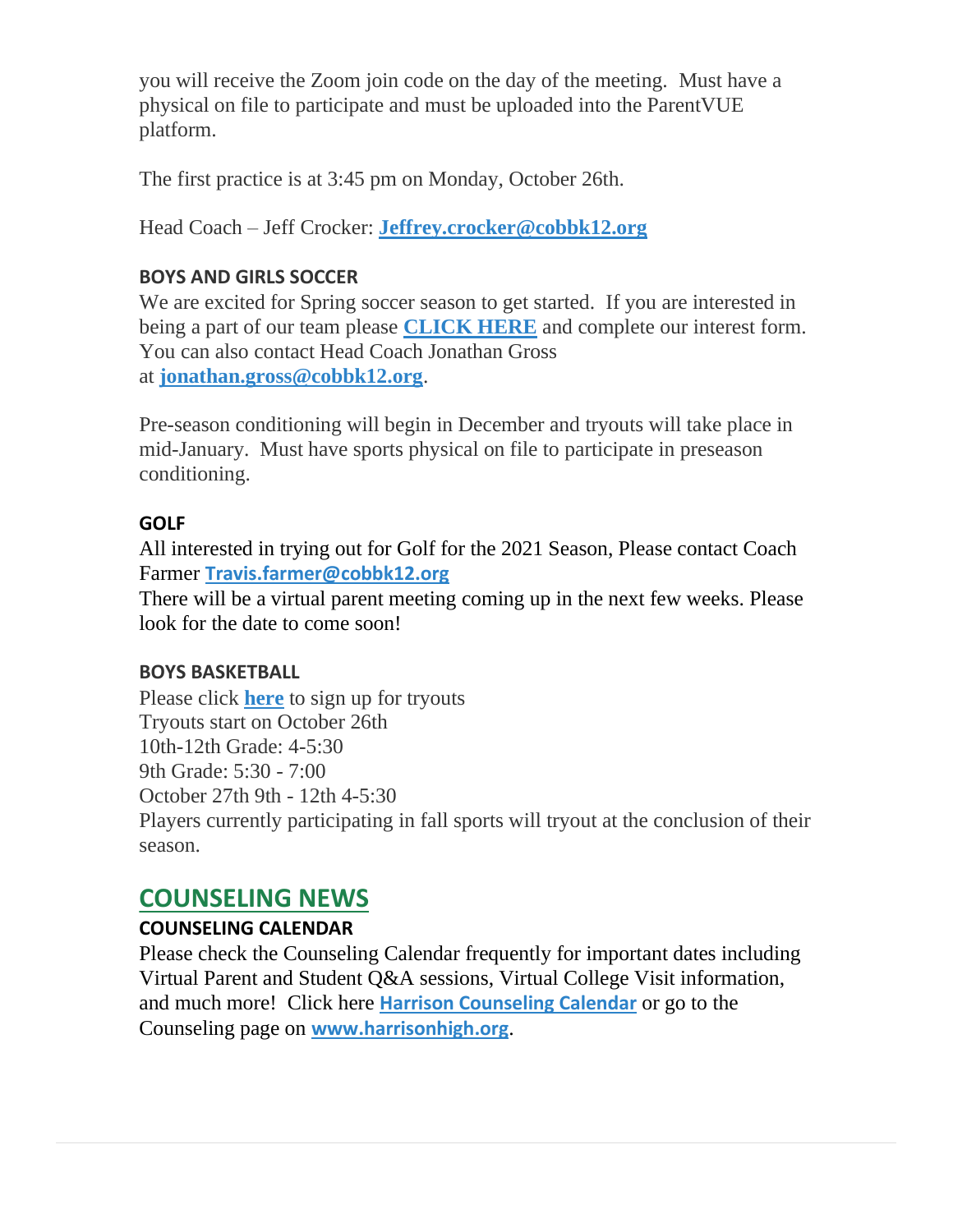you will receive the Zoom join code on the day of the meeting. Must have a physical on file to participate and must be uploaded into the ParentVUE platform.

The first practice is at 3:45 pm on Monday, October 26th.

Head Coach – Jeff Crocker: **[Jeffrey.crocker@cobbk12.org](mailto:Jeffrey.crocker@cobbk12.org)**

#### **BOYS AND GIRLS SOCCER**

We are excited for Spring soccer season to get started. If you are interested in being a part of our team please **[CLICK HERE](https://docs.google.com/forms/d/e/1FAIpQLSejVKRJ30_WmtRggRtJzXt1gSYOyU3GKbXnam36p6NlfhZtmw/viewform?vc=0&c=0&w=1&flr=0&gxids=7757)** and complete our interest form. You can also contact Head Coach Jonathan Gross at **[jonathan.gross@cobbk12.org](mailto:jonathan.gross@cobbk12.org)**.

Pre-season conditioning will begin in December and tryouts will take place in mid-January. Must have sports physical on file to participate in preseason conditioning.

#### **GOLF**

All interested in trying out for Golf for the 2021 Season, Please contact Coach Farmer **[Travis.farmer@cobbk12.org](mailto:%20Travis.farmer@cobbk12.org)**

There will be a virtual parent meeting coming up in the next few weeks. Please look for the date to come soon!

#### **BOYS BASKETBALL**

Please click **[here](https://forms.office.com/Pages/ResponsePage.aspx?id=-x3OL5-ROEmquMR_D8kYLTD0EJWBzvxDisDeAYuASklURFBCNDVBNzM4WURSUUVYVEkwMFFPUEg1SS4u)** to sign up for tryouts Tryouts start on October 26th 10th-12th Grade: 4-5:30 9th Grade: 5:30 - 7:00 October 27th 9th - 12th 4-5:30 Players currently participating in fall sports will tryout at the conclusion of their season.

## **COUNSELING NEWS**

#### **COUNSELING CALENDAR**

Please check the Counseling Calendar frequently for important dates including Virtual Parent and Student Q&A sessions, Virtual College Visit information, and much more! Click here **[Harrison Counseling Calendar](https://calendar.google.com/calendar/embed?src=tasr4q5spailsj1itftjdtn6mk%40group.calendar.google.com&ctz=America%2FNew_York)** or go to the Counseling page on **[www.harrisonhigh.org](http://www.harrisonhigh.org/)**.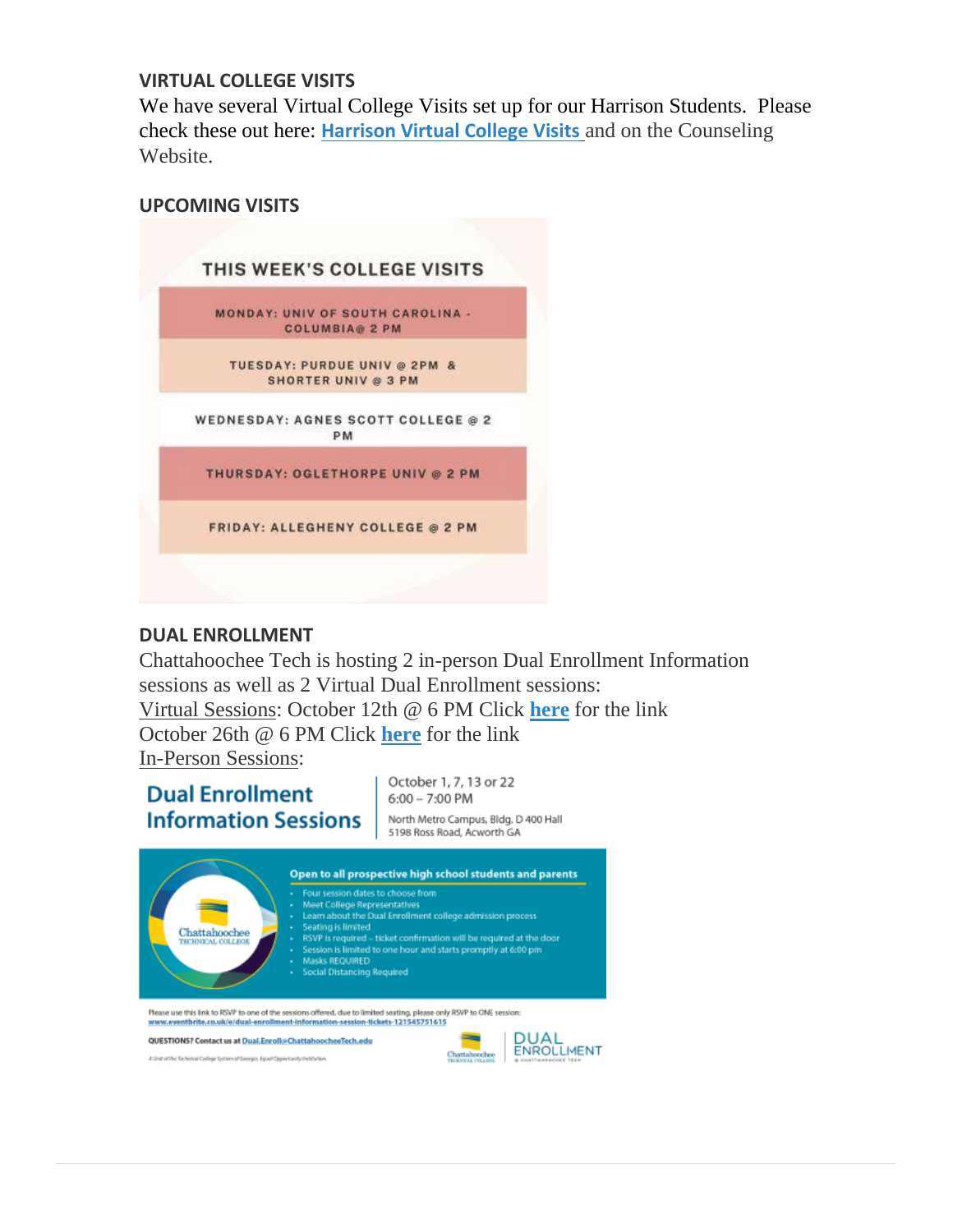#### **VIRTUAL COLLEGE VISITS**

We have several Virtual College Visits set up for our Harrison Students. Please check these out here: **[Harrison Virtual College Visits](https://cobbk12org-my.sharepoint.com/:x:/g/personal/leanna_kor_cobbk12_org/EWP6BGgLdCBOvhv5RDRuCVwBqHA2jXXmnAUqr7hXgxEU7w?rtime=t-E10MJN2Eg)** and on the Counseling Website.

#### **UPCOMING VISITS**



#### **DUAL ENROLLMENT**

Chattahoochee Tech is hosting 2 in-person Dual Enrollment Information sessions as well as 2 Virtual Dual Enrollment sessions: Virtual Sessions: October 12th @ 6 PM Click **[here](https://chattahoocheetech.webex.com/chattahoocheetech/j.php?MTID=ma05febd3db237af543565fa50757ab9a)** for the link October 26th @ 6 PM Click **[here](https://chattahoocheetech.webex.com/chattahoocheetech/j.php?MTID=me5eb0f1dc450ca91f799ddcf3c6300f9)** for the link In-Person Sessions:

### **Dual Enrollment Information Sessions**

October 1, 7, 13 or 22  $6:00 - 7:00$  PM North Metro Campus, Bldg. D 400 Hall 5198 Ross Road, Acworth GA



www.eventbrite.co.uk/e/dual-enrollment-information-session-tickets-121545751615

QUESTIONS? Contact us at Dual. Enroll@ChattahoocheeTech.edu

A Direit of the Technical Callinge System of Genesia. Figuret Departments (Institution,

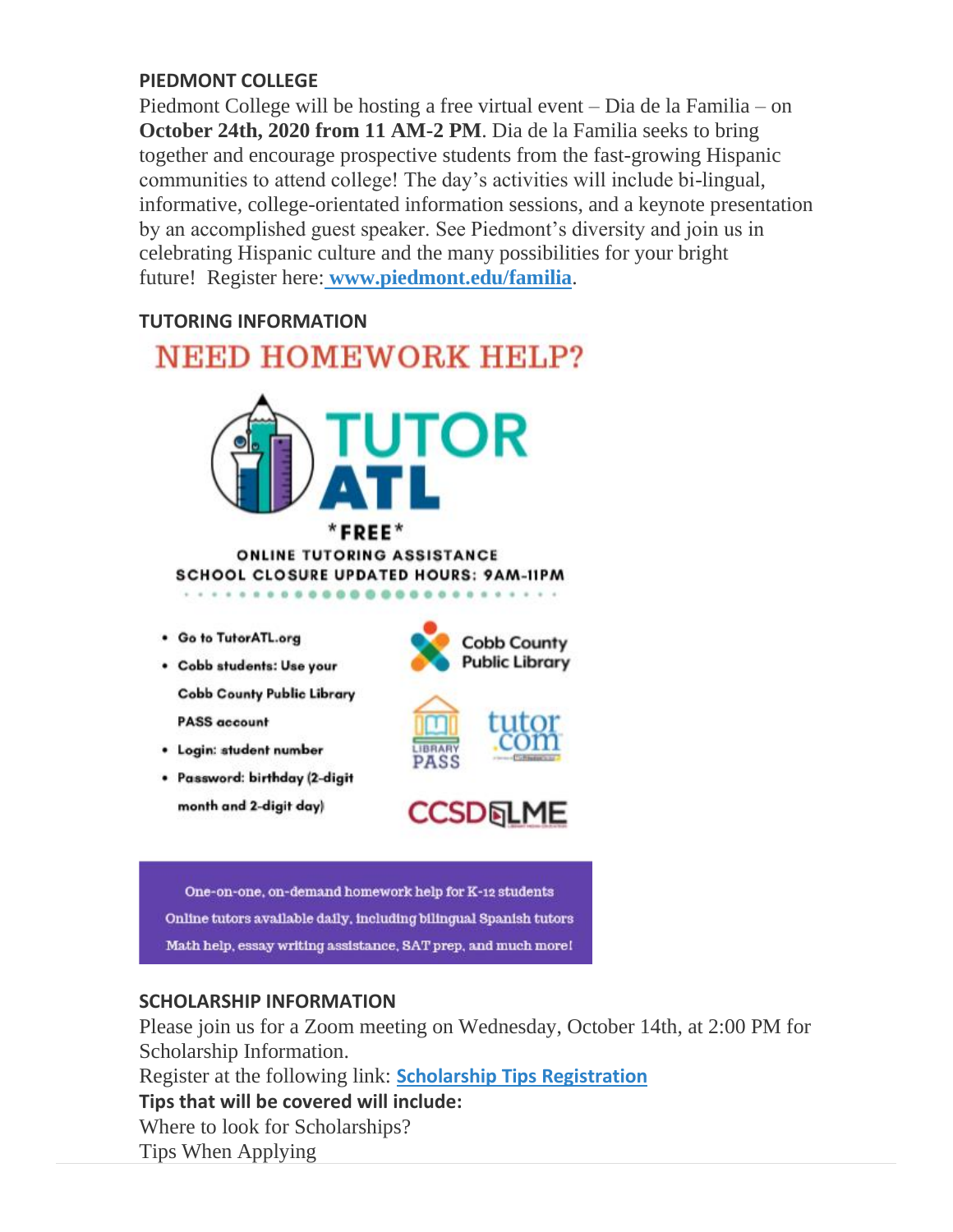#### **PIEDMONT COLLEGE**

Piedmont College will be hosting a free virtual event – Dia de la Familia – on **October 24th, 2020 from 11 AM-2 PM**. Dia de la Familia seeks to bring together and encourage prospective students from the fast-growing Hispanic communities to attend college! The day's activities will include bi-lingual, informative, college-orientated information sessions, and a keynote presentation by an accomplished guest speaker. See Piedmont's diversity and join us in celebrating Hispanic culture and the many possibilities for your bright future! Register here: **[www.piedmont.edu/familia](http://www.piedmont.edu/familia)**.

#### **TUTORING INFORMATION**



**ONLINE TUTORING ASSISTANCE SCHOOL CLOSURE UPDATED HOURS: 9AM-IIPM** 

- . Go to TutorATL.org
- · Cobb students: Use your **Cobb County Public Library PASS** account
- · Login: student number
- · Password: birthday (2-digit month and 2-digit day)







One-on-one, on-demand homework help for K-12 students Online tutors available daily, including bilingual Spanish tutors Math help, essay writing assistance, SAT prep, and much more!

#### **SCHOLARSHIP INFORMATION**

Please join us for a Zoom meeting on Wednesday, October 14th, at 2:00 PM for Scholarship Information. Register at the following link: **[Scholarship Tips Registration](https://forms.office.com/Pages/ResponsePage.aspx?id=-x3OL5-ROEmquMR_D8kYLaUD1K_Pl6ZOsbbAKVJkKlFUQjdKS1gyR004SVVQUFlXVk9TTlZUOUtRUC4u) Tips that will be covered will include:** Where to look for Scholarships? Tips When Applying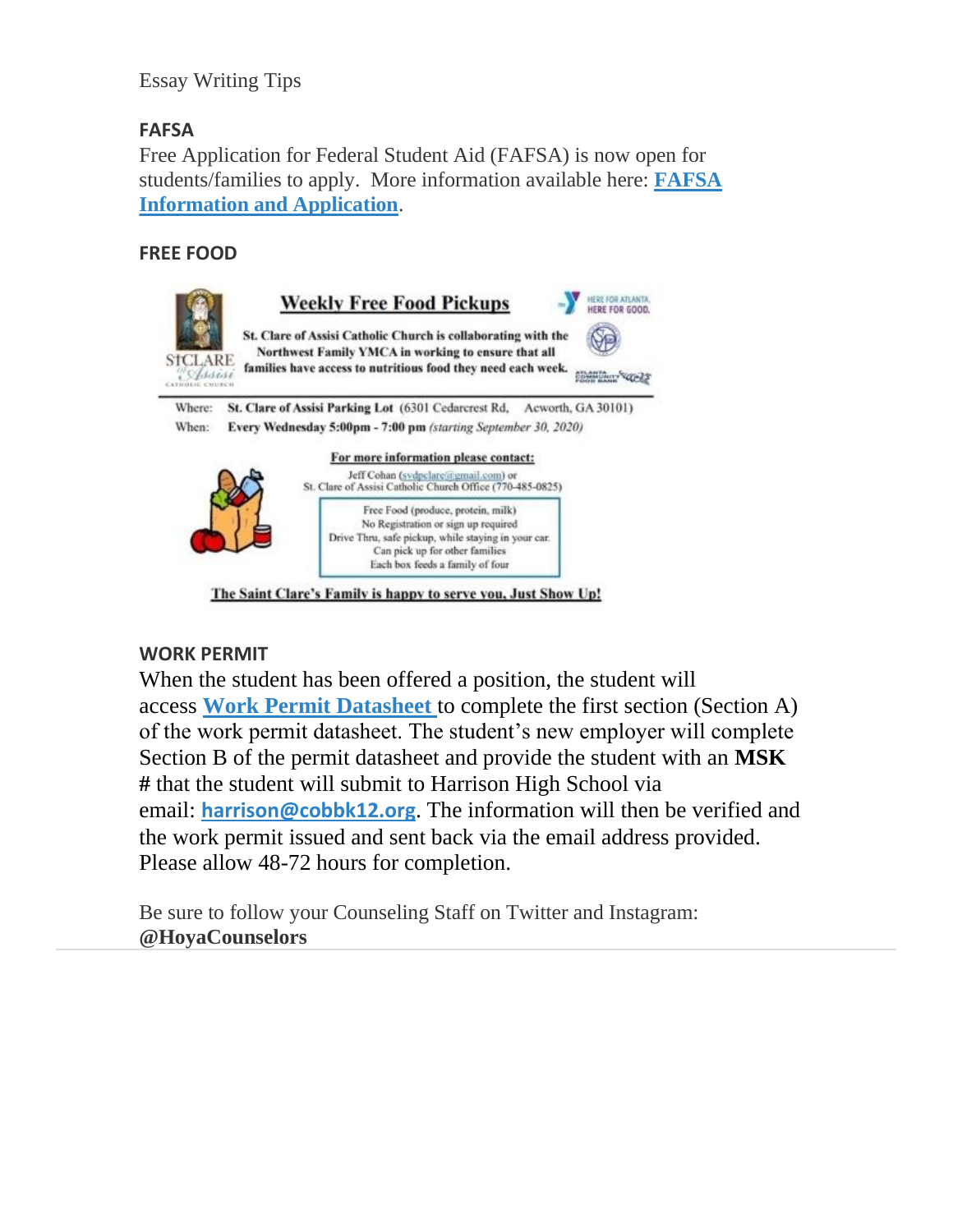Essay Writing Tips

#### **FAFSA**

Free Application for Federal Student Aid (FAFSA) is now open for students/families to apply. More information available here: **[FAFSA](https://www.google.com/url?q=https://www.salliemae.com/college-planning/financial-aid/fafsa/?dtd_cell%3DSMPLCADCOTDOOTOTOTHOTHRN010042&sa=D&source=calendar&usd=2&usg=AOvVaw3KtidqSBTCgmhtou0nHHxw)  [Information and Application](https://www.google.com/url?q=https://www.salliemae.com/college-planning/financial-aid/fafsa/?dtd_cell%3DSMPLCADCOTDOOTOTOTHOTHRN010042&sa=D&source=calendar&usd=2&usg=AOvVaw3KtidqSBTCgmhtou0nHHxw)**.

#### **FREE FOOD**



#### **WORK PERMIT**

When the student has been offered a position, the student will access **[Work Permit Datasheet](https://nam03.safelinks.protection.outlook.com/?url=https%3A%2F%2Fwww.dol.state.ga.us%2FWS4-MW5%2Fcics.jsp%3FTRANSID%3DWP17%26FRMNAME%3DWP17&data=02%7C01%7CAudra.Skalski%40cobbk12.org%7C856357e8e49d4d50041d08d80cb84415%7C2fce1dfb919f4938aab8c47f0fc9182d%7C0%7C1%7C637273332845584845&sdata=sYK4oD2g8pZe2iY4gQXjSHJq%2FGMstnRRcs7%2F3kUZoWc%3D&reserved=0)** to complete the first section (Section A) of the work permit datasheet. The student's new employer will complete Section B of the permit datasheet and provide the student with an **MSK #** that the student will submit to Harrison High School via email: **[harrison@cobbk12.org](mailto:%20harrison@cobbk12.org)**. The information will then be verified and the work permit issued and sent back via the email address provided. Please allow 48-72 hours for completion.

Be sure to follow your Counseling Staff on Twitter and Instagram: **@HoyaCounselors**